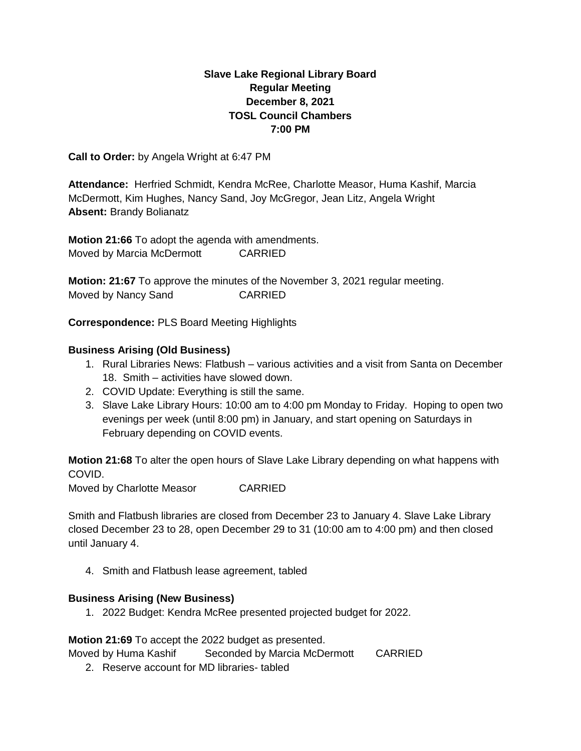# **Slave Lake Regional Library Board Regular Meeting December 8, 2021 TOSL Council Chambers 7:00 PM**

**Call to Order:** by Angela Wright at 6:47 PM

**Attendance:** Herfried Schmidt, Kendra McRee, Charlotte Measor, Huma Kashif, Marcia McDermott, Kim Hughes, Nancy Sand, Joy McGregor, Jean Litz, Angela Wright **Absent:** Brandy Bolianatz

**Motion 21:66** To adopt the agenda with amendments. Moved by Marcia McDermott CARRIED

**Motion: 21:67** To approve the minutes of the November 3, 2021 regular meeting. Moved by Nancy Sand CARRIED

**Correspondence:** PLS Board Meeting Highlights

## **Business Arising (Old Business)**

- 1. Rural Libraries News: Flatbush various activities and a visit from Santa on December 18. Smith – activities have slowed down.
- 2. COVID Update: Everything is still the same.
- 3. Slave Lake Library Hours: 10:00 am to 4:00 pm Monday to Friday. Hoping to open two evenings per week (until 8:00 pm) in January, and start opening on Saturdays in February depending on COVID events.

**Motion 21:68** To alter the open hours of Slave Lake Library depending on what happens with COVID.

Moved by Charlotte Measor CARRIED

Smith and Flatbush libraries are closed from December 23 to January 4. Slave Lake Library closed December 23 to 28, open December 29 to 31 (10:00 am to 4:00 pm) and then closed until January 4.

4. Smith and Flatbush lease agreement, tabled

### **Business Arising (New Business)**

1. 2022 Budget: Kendra McRee presented projected budget for 2022.

**Motion 21:69** To accept the 2022 budget as presented.

Moved by Huma Kashif Seconded by Marcia McDermott CARRIED

2. Reserve account for MD libraries- tabled